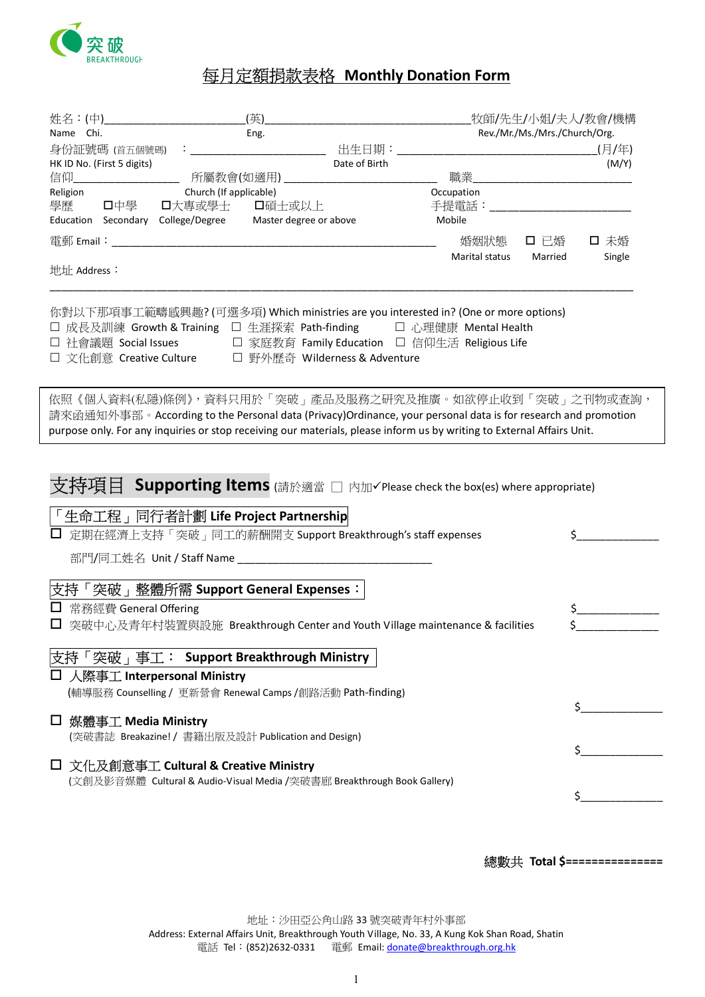

## 每月定額捐款表格 Monthly Donation Form

| 姓名:(中)                        | (英)                                                                                                                                                                                                                                                                                                                                                     |               |                | 牧師/先生/小姐/夫人/教會/機構             |        |
|-------------------------------|---------------------------------------------------------------------------------------------------------------------------------------------------------------------------------------------------------------------------------------------------------------------------------------------------------------------------------------------------------|---------------|----------------|-------------------------------|--------|
| Name Chi.                     | Eng.                                                                                                                                                                                                                                                                                                                                                    |               |                | Rev./Mr./Ms./Mrs./Church/Org. |        |
| 身份証號碼 (首五個號碼)                 |                                                                                                                                                                                                                                                                                                                                                         | 出生日期:         |                |                               | (月/年)  |
| HK ID No. (First 5 digits)    |                                                                                                                                                                                                                                                                                                                                                         | Date of Birth |                |                               | (M/Y)  |
| 信仰__                          | 所屬教會(如適用)____________________                                                                                                                                                                                                                                                                                                                           |               | 職業             |                               |        |
| Religion                      | Church (If applicable)                                                                                                                                                                                                                                                                                                                                  |               | Occupation     |                               |        |
| 學歷<br>口中學                     | 口碩士或以上<br>口大專或學士                                                                                                                                                                                                                                                                                                                                        |               | 手提電話:_         |                               |        |
|                               | Education Secondary College/Degree Master degree or above                                                                                                                                                                                                                                                                                               |               | Mobile         |                               |        |
|                               | $\widetilde{\mathbb{E}}$ 郵 Email: $\overline{\phantom{a}}$                                                                                                                                                                                                                                                                                              |               | 婚姻狀態           | 口 已婚                          | 口 未婚   |
|                               |                                                                                                                                                                                                                                                                                                                                                         |               | Marital status | Married                       | Single |
| 地址 Address:                   |                                                                                                                                                                                                                                                                                                                                                         |               |                |                               |        |
|                               | 你對以下那項事工範疇感興趣? (可選多項) Which ministries are you interested in? (One or more options)<br>□ 成長及訓練 Growth & Training □ 生涯探索 Path-finding □ □ 心理健康 Mental Health<br>□ 社會議題 Social Issues     □ 家庭教育 Family Education □ 信仰生活 Religious Life<br>□ 文化創意 Creative Culture □ 野外歷奇 Wilderness & Adventure<br>依照《個人資料(私隱)條例》,資料只用於「突破」產品及服務之研究及推廣。如欲停止收到「突破」之刊物或查詢, |               |                |                               |        |
|                               | 請來函通知外事部。According to the Personal data (Privacy)Ordinance, your personal data is for research and promotion<br>purpose only. For any inquiries or stop receiving our materials, please inform us by writing to External Affairs Unit.                                                                                                                  |               |                |                               |        |
|                               | <b>支持項目 Supporting Items</b> (請於適當 □ 内加√Please check the box(es) where appropriate)<br>「生命工程」同行者計劃 Life Project Partnership<br>定期在經濟上支持「突破」同工的薪酬開支 Support Breakthrough's staff expenses                                                                                                                                                                |               |                | \$.                           |        |
| 支持                            | 「突破」整體所需 Support General Expenses:                                                                                                                                                                                                                                                                                                                      |               |                |                               |        |
| 常務經費 General Offering         |                                                                                                                                                                                                                                                                                                                                                         |               |                | \$                            |        |
|                               | □ 突破中心及青年村裝置與設施 Breakthrough Center and Youth Village maintenance & facilities                                                                                                                                                                                                                                                                          |               |                |                               |        |
|                               | 突破 <sub>1</sub> 事工: Support Breakthrough Ministry                                                                                                                                                                                                                                                                                                       |               |                |                               |        |
| 人際事工 Interpersonal Ministry   |                                                                                                                                                                                                                                                                                                                                                         |               |                |                               |        |
|                               | (輔導服務 Counselling / 更新營會 Renewal Camps /創路活動 Path-finding)                                                                                                                                                                                                                                                                                              |               |                |                               |        |
|                               |                                                                                                                                                                                                                                                                                                                                                         |               |                | \$                            |        |
| 媒體事工 Media Ministry<br>$\Box$ |                                                                                                                                                                                                                                                                                                                                                         |               |                |                               |        |
|                               | (突破書誌 Breakazine! / 書籍出版及設計 Publication and Design)                                                                                                                                                                                                                                                                                                     |               |                |                               |        |
|                               |                                                                                                                                                                                                                                                                                                                                                         |               |                |                               |        |
|                               | □ 文化及創意事工 Cultural & Creative Ministry                                                                                                                                                                                                                                                                                                                  |               |                |                               |        |
|                               | (文創及影音媒體 Cultural & Audio-Visual Media /突破書廊 Breakthrough Book Gallery)                                                                                                                                                                                                                                                                                 |               |                |                               |        |
|                               |                                                                                                                                                                                                                                                                                                                                                         |               |                | \$.                           |        |
|                               |                                                                                                                                                                                                                                                                                                                                                         |               |                |                               |        |

總數共 Total \$===============

地址:沙田亞公角山路 33 號突破青年村外事部 Address: External Affairs Unit, Breakthrough Youth Village, No. 33, A Kung Kok Shan Road, Shatin 電話 Tel: (852)2632-0331 電郵 Email: donate@breakthrough.org.hk